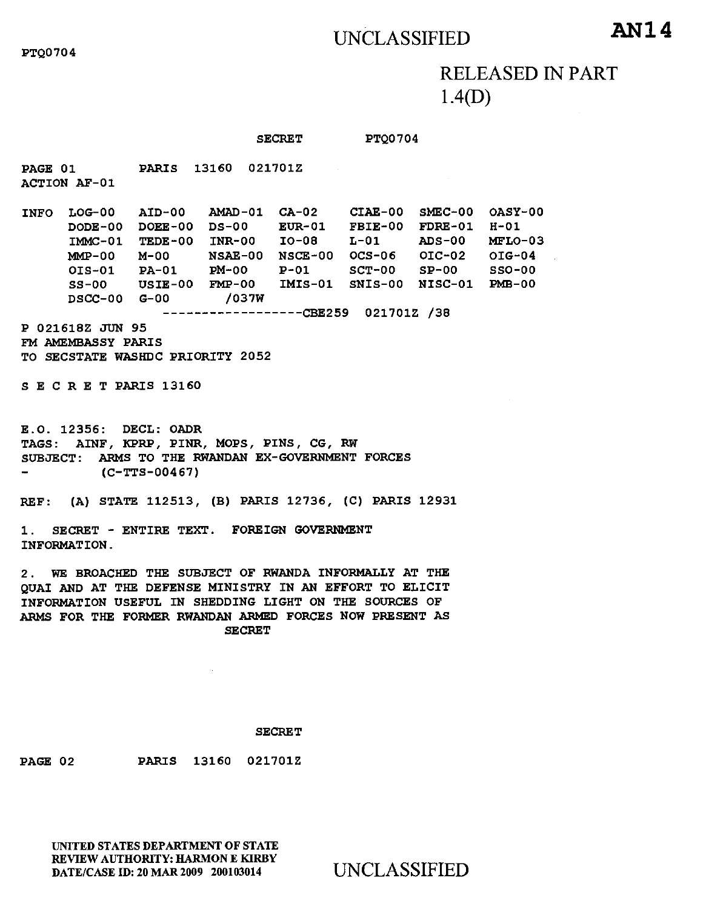## UNCLASSIFIED **AN14**

RELEASED IN PART 1.4(D)

## SECRET PTQ0704

PAGE 01 PARIS 13160 021701Z ACTION AF-01

INFO LOG-00 AID-00 AMAD-01 CA-02 CIAE-00 SMEC-00 OASY-00 DODE-00 DOEE-00 DS-00 EUR-01 FBIE-00 FDRE-01 H-01 IMMC-01 TEDE-00 INR-00 10-08 L-01 ADS-00 MFLO-03 MMP-00 M-00 NSAE-00 NSCE-00 OCS-06 01C-02 01G-04 OIS-01 PA-01 PM-00 P-01 SCT-00 SP-00 SSO-00 SS-00 USIE-00 FM2-00 SNIS-00 NISC-01 PMB-00 DSCC-00 G-00 /037W ----------------CBE259 021701Z /38

P 021618Z JUN 95 FM AMEMBASSY PARIS TO SECSTATE WASHDC PRIORITY 2052

S E C R E T PARIS 13160

E.O. 12356: DECL: OADR TAGS: AINF, KPRP, PINR, MOPS, PINS, CG, RW SUBJECT: ARMS TO THE RWANDAN EX-GOVERNMENT FORCES (C-TTS-00467)

REF: (A) STATE 112513, (B) PARIS 12736, (C) PARIS 12931

1. SECRET - ENTIRE TEXT. FOREIGN GOVERNMENT INFORMATION.

2. WE BROACHED THE SUBJECT OF RWANDA INFORMALLY AT THE QUAI AND AT THE DEFENSE MINISTRY IN AN EFFORT TO ELICIT INFORMATION USEFUL IN SHEDDING LIGHT ON THE SOURCES OF ARMS FOR THE FORMER RWANDAN ARMED FORCES NOW PRESENT AS SECRET

## **SECRET**

PAGE 02 PARIS 13160 021701Z

UNITED STATES DEPARTMENT OF STATE REVIEW AUTHORITY: HARMON E KIRBY DATE/CASE ID: 20 MAR 2009 200103014 UNCLASSIFIED